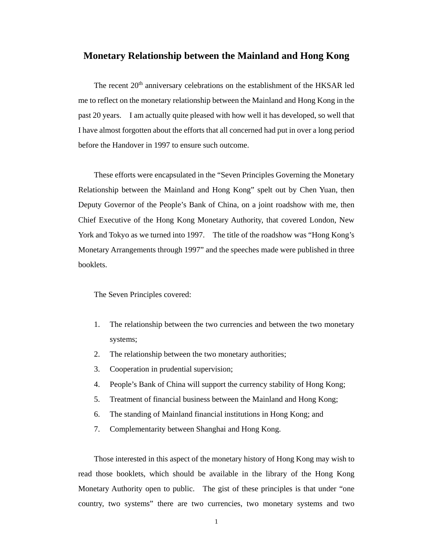## **Monetary Relationship between the Mainland and Hong Kong**

The recent 20<sup>th</sup> anniversary celebrations on the establishment of the HKSAR led me to reflect on the monetary relationship between the Mainland and Hong Kong in the past 20 years. I am actually quite pleased with how well it has developed, so well that I have almost forgotten about the efforts that all concerned had put in over a long period before the Handover in 1997 to ensure such outcome.

These efforts were encapsulated in the "Seven Principles Governing the Monetary Relationship between the Mainland and Hong Kong" spelt out by Chen Yuan, then Deputy Governor of the People's Bank of China, on a joint roadshow with me, then Chief Executive of the Hong Kong Monetary Authority, that covered London, New York and Tokyo as we turned into 1997. The title of the roadshow was "Hong Kong's Monetary Arrangements through 1997" and the speeches made were published in three booklets.

## The Seven Principles covered:

- 1. The relationship between the two currencies and between the two monetary systems;
- 2. The relationship between the two monetary authorities;
- 3. Cooperation in prudential supervision;
- 4. People's Bank of China will support the currency stability of Hong Kong;
- 5. Treatment of financial business between the Mainland and Hong Kong;
- 6. The standing of Mainland financial institutions in Hong Kong; and
- 7. Complementarity between Shanghai and Hong Kong.

Those interested in this aspect of the monetary history of Hong Kong may wish to read those booklets, which should be available in the library of the Hong Kong Monetary Authority open to public. The gist of these principles is that under "one country, two systems" there are two currencies, two monetary systems and two